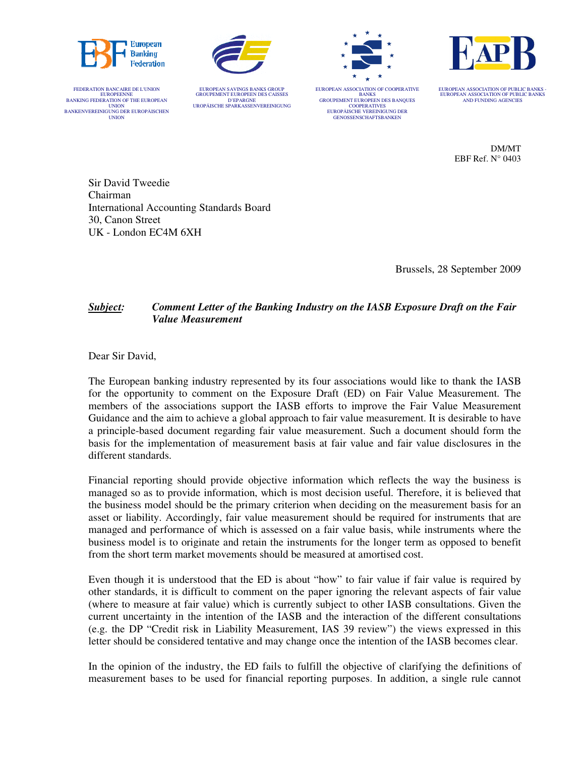







FEDERATION BANCAIRE DE L'UNION EUROPEENNE BANKING FEDERATION OF THE EUROPEAN UNION<br>BANKENVEREINIGUNG DER EUROPÄISCHEN UNION

EUROPEAN SAVINGS BANKS GROUP GROUPEMENT EUROPEEN DES CAISSES D'EPARGNE UROPÄISCHE SPARKASSENVEREINIGUNG EUROPEAN ASSOCIATION OF COOPERATIVE BANKS GROUPEMENT EUROPEEN DES BANQUES COOPERATIVES EUROPÄISCHE VEREINIGUNG DER GENOSSENSCHAFTSBANKEN

EUROPEAN ASSOCIATION OF PUBLIC BANKS - EUROPEAN ASSOCIATION OF PUBLIC BANKS AND FUNDING AGENCIES

> DM/MT EBF Ref. N° 0403

Sir David Tweedie Chairman International Accounting Standards Board 30, Canon Street UK - London EC4M 6XH

Brussels, 28 September 2009

# *Subject: Comment Letter of the Banking Industry on the IASB Exposure Draft on the Fair Value Measurement*

Dear Sir David,

The European banking industry represented by its four associations would like to thank the IASB for the opportunity to comment on the Exposure Draft (ED) on Fair Value Measurement. The members of the associations support the IASB efforts to improve the Fair Value Measurement Guidance and the aim to achieve a global approach to fair value measurement. It is desirable to have a principle-based document regarding fair value measurement. Such a document should form the basis for the implementation of measurement basis at fair value and fair value disclosures in the different standards.

Financial reporting should provide objective information which reflects the way the business is managed so as to provide information, which is most decision useful. Therefore, it is believed that the business model should be the primary criterion when deciding on the measurement basis for an asset or liability. Accordingly, fair value measurement should be required for instruments that are managed and performance of which is assessed on a fair value basis, while instruments where the business model is to originate and retain the instruments for the longer term as opposed to benefit from the short term market movements should be measured at amortised cost.

Even though it is understood that the ED is about "how" to fair value if fair value is required by other standards, it is difficult to comment on the paper ignoring the relevant aspects of fair value (where to measure at fair value) which is currently subject to other IASB consultations. Given the current uncertainty in the intention of the IASB and the interaction of the different consultations (e.g. the DP "Credit risk in Liability Measurement, IAS 39 review") the views expressed in this letter should be considered tentative and may change once the intention of the IASB becomes clear.

In the opinion of the industry, the ED fails to fulfill the objective of clarifying the definitions of measurement bases to be used for financial reporting purposes. In addition, a single rule cannot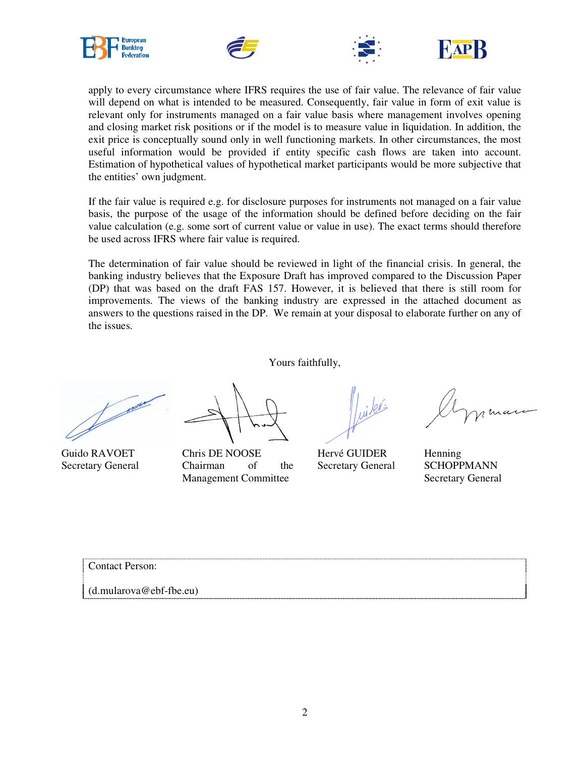







apply to every circumstance where IFRS requires the use of fair value. The relevance of fair value will depend on what is intended to be measured. Consequently, fair value in form of exit value is relevant only for instruments managed on a fair value basis where management involves opening and closing market risk positions or if the model is to measure value in liquidation. In addition, the exit price is conceptually sound only in well functioning markets. In other circumstances, the most useful information would be provided if entity specific cash flows are taken into account. Estimation of hypothetical values of hypothetical market participants would be more subjective that the entities' own judgment.

If the fair value is required e.g. for disclosure purposes for instruments not managed on a fair value basis, the purpose of the usage of the information should be defined before deciding on the fair value calculation (e.g. some sort of current value or value in use). The exact terms should therefore be used across IFRS where fair value is required.

The determination of fair value should be reviewed in light of the financial crisis. In general, the banking industry believes that the Exposure Draft has improved compared to the Discussion Paper (DP) that was based on the draft FAS 157. However, it is believed that there is still room for improvements. The views of the banking industry are expressed in the attached document as answers to the questions raised in the DP. We remain at your disposal to elaborate further on any of the issues.

Yours faithfully,

Guido RAVOET Secretary General

Chris DE NOOSE Chairman of the Management Committee

ibli

Hervé GUIDER Secretary General

Henning **SCHOPPMANN** Secretary General

Contact Person:

(d.mularova@ebf-fbe.eu)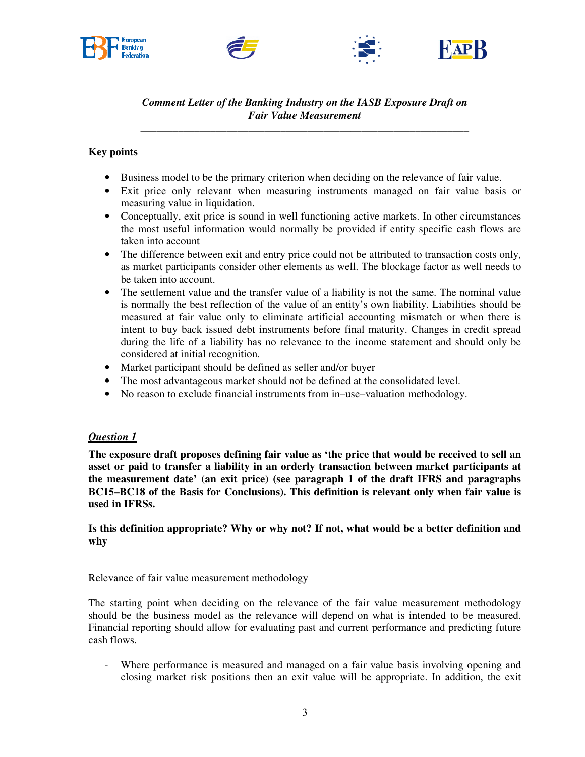







*Comment Letter of the Banking Industry on the IASB Exposure Draft on Fair Value Measurement*

\_\_\_\_\_\_\_\_\_\_\_\_\_\_\_\_\_\_\_\_\_\_\_\_\_\_\_\_\_\_\_\_\_\_\_\_\_\_\_\_\_\_\_\_\_\_\_\_\_\_\_\_\_\_\_\_\_\_\_\_\_

# **Key points**

- Business model to be the primary criterion when deciding on the relevance of fair value.
- Exit price only relevant when measuring instruments managed on fair value basis or measuring value in liquidation.
- Conceptually, exit price is sound in well functioning active markets. In other circumstances the most useful information would normally be provided if entity specific cash flows are taken into account
- The difference between exit and entry price could not be attributed to transaction costs only, as market participants consider other elements as well. The blockage factor as well needs to be taken into account.
- The settlement value and the transfer value of a liability is not the same. The nominal value is normally the best reflection of the value of an entity's own liability. Liabilities should be measured at fair value only to eliminate artificial accounting mismatch or when there is intent to buy back issued debt instruments before final maturity. Changes in credit spread during the life of a liability has no relevance to the income statement and should only be considered at initial recognition.
- Market participant should be defined as seller and/or buyer
- The most advantageous market should not be defined at the consolidated level.
- No reason to exclude financial instruments from in–use–valuation methodology.

## *Question 1*

**The exposure draft proposes defining fair value as 'the price that would be received to sell an asset or paid to transfer a liability in an orderly transaction between market participants at the measurement date' (an exit price) (see paragraph 1 of the draft IFRS and paragraphs BC15–BC18 of the Basis for Conclusions). This definition is relevant only when fair value is used in IFRSs.** 

**Is this definition appropriate? Why or why not? If not, what would be a better definition and why** 

## Relevance of fair value measurement methodology

The starting point when deciding on the relevance of the fair value measurement methodology should be the business model as the relevance will depend on what is intended to be measured. Financial reporting should allow for evaluating past and current performance and predicting future cash flows.

Where performance is measured and managed on a fair value basis involving opening and closing market risk positions then an exit value will be appropriate. In addition, the exit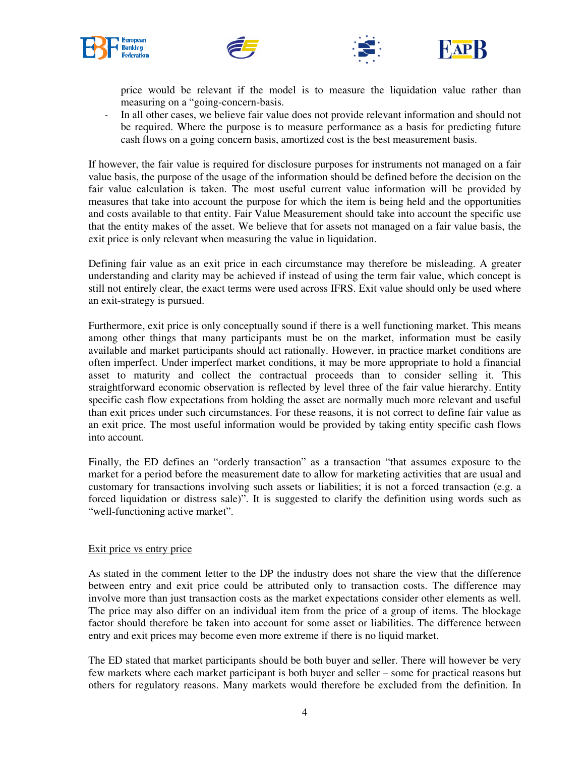







price would be relevant if the model is to measure the liquidation value rather than measuring on a "going-concern-basis.

- In all other cases, we believe fair value does not provide relevant information and should not be required. Where the purpose is to measure performance as a basis for predicting future cash flows on a going concern basis, amortized cost is the best measurement basis.

If however, the fair value is required for disclosure purposes for instruments not managed on a fair value basis, the purpose of the usage of the information should be defined before the decision on the fair value calculation is taken. The most useful current value information will be provided by measures that take into account the purpose for which the item is being held and the opportunities and costs available to that entity. Fair Value Measurement should take into account the specific use that the entity makes of the asset. We believe that for assets not managed on a fair value basis, the exit price is only relevant when measuring the value in liquidation.

Defining fair value as an exit price in each circumstance may therefore be misleading. A greater understanding and clarity may be achieved if instead of using the term fair value, which concept is still not entirely clear, the exact terms were used across IFRS. Exit value should only be used where an exit-strategy is pursued.

Furthermore, exit price is only conceptually sound if there is a well functioning market. This means among other things that many participants must be on the market, information must be easily available and market participants should act rationally. However, in practice market conditions are often imperfect. Under imperfect market conditions, it may be more appropriate to hold a financial asset to maturity and collect the contractual proceeds than to consider selling it. This straightforward economic observation is reflected by level three of the fair value hierarchy. Entity specific cash flow expectations from holding the asset are normally much more relevant and useful than exit prices under such circumstances. For these reasons, it is not correct to define fair value as an exit price. The most useful information would be provided by taking entity specific cash flows into account.

Finally, the ED defines an "orderly transaction" as a transaction "that assumes exposure to the market for a period before the measurement date to allow for marketing activities that are usual and customary for transactions involving such assets or liabilities; it is not a forced transaction (e.g. a forced liquidation or distress sale)". It is suggested to clarify the definition using words such as "well-functioning active market".

## Exit price vs entry price

As stated in the comment letter to the DP the industry does not share the view that the difference between entry and exit price could be attributed only to transaction costs. The difference may involve more than just transaction costs as the market expectations consider other elements as well. The price may also differ on an individual item from the price of a group of items. The blockage factor should therefore be taken into account for some asset or liabilities. The difference between entry and exit prices may become even more extreme if there is no liquid market.

The ED stated that market participants should be both buyer and seller. There will however be very few markets where each market participant is both buyer and seller – some for practical reasons but others for regulatory reasons. Many markets would therefore be excluded from the definition. In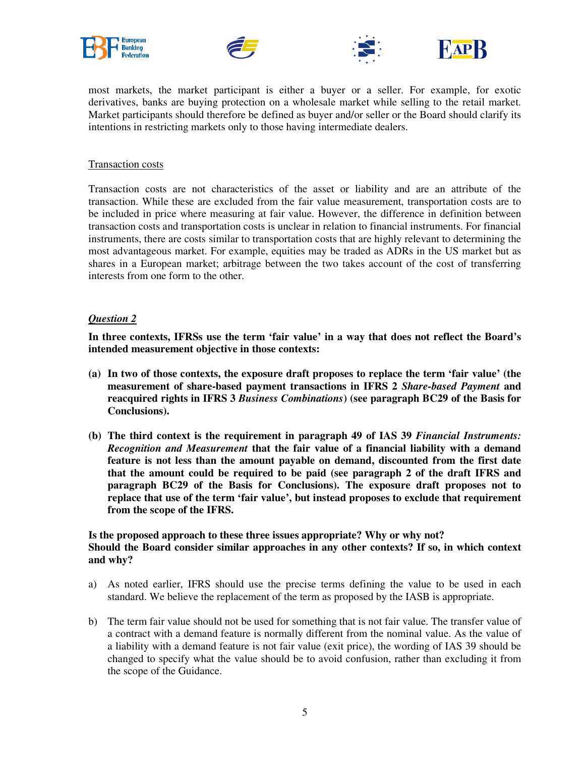







most markets, the market participant is either a buyer or a seller. For example, for exotic derivatives, banks are buying protection on a wholesale market while selling to the retail market. Market participants should therefore be defined as buyer and/or seller or the Board should clarify its intentions in restricting markets only to those having intermediate dealers.

## Transaction costs

Transaction costs are not characteristics of the asset or liability and are an attribute of the transaction. While these are excluded from the fair value measurement, transportation costs are to be included in price where measuring at fair value. However, the difference in definition between transaction costs and transportation costs is unclear in relation to financial instruments. For financial instruments, there are costs similar to transportation costs that are highly relevant to determining the most advantageous market. For example, equities may be traded as ADRs in the US market but as shares in a European market; arbitrage between the two takes account of the cost of transferring interests from one form to the other.

#### *Question 2*

**In three contexts, IFRSs use the term 'fair value' in a way that does not reflect the Board's intended measurement objective in those contexts:** 

- **(a) In two of those contexts, the exposure draft proposes to replace the term 'fair value' (the measurement of share-based payment transactions in IFRS 2** *Share-based Payment* **and reacquired rights in IFRS 3** *Business Combinations***) (see paragraph BC29 of the Basis for Conclusions).**
- **(b) The third context is the requirement in paragraph 49 of IAS 39** *Financial Instruments: Recognition and Measurement* **that the fair value of a financial liability with a demand feature is not less than the amount payable on demand, discounted from the first date that the amount could be required to be paid (see paragraph 2 of the draft IFRS and paragraph BC29 of the Basis for Conclusions). The exposure draft proposes not to replace that use of the term 'fair value', but instead proposes to exclude that requirement from the scope of the IFRS.**

# **Is the proposed approach to these three issues appropriate? Why or why not? Should the Board consider similar approaches in any other contexts? If so, in which context and why?**

- a) As noted earlier, IFRS should use the precise terms defining the value to be used in each standard. We believe the replacement of the term as proposed by the IASB is appropriate.
- b) The term fair value should not be used for something that is not fair value. The transfer value of a contract with a demand feature is normally different from the nominal value. As the value of a liability with a demand feature is not fair value (exit price), the wording of IAS 39 should be changed to specify what the value should be to avoid confusion, rather than excluding it from the scope of the Guidance.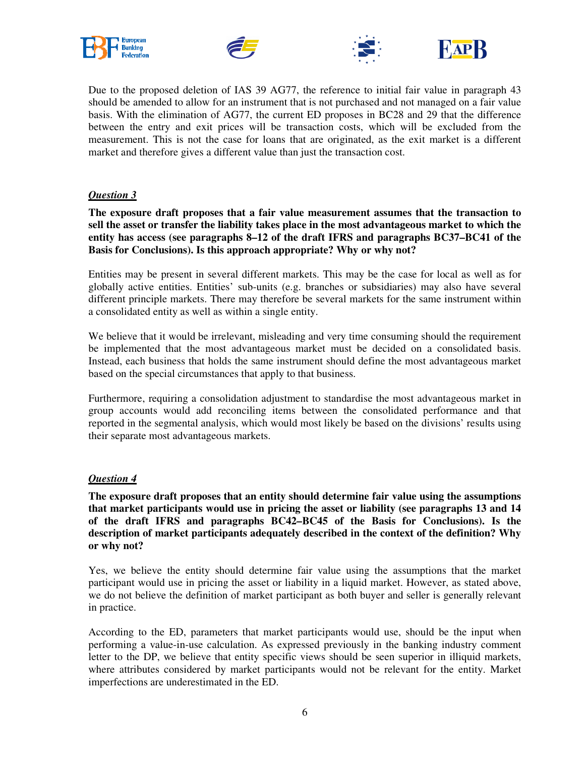







Due to the proposed deletion of IAS 39 AG77, the reference to initial fair value in paragraph 43 should be amended to allow for an instrument that is not purchased and not managed on a fair value basis. With the elimination of AG77, the current ED proposes in BC28 and 29 that the difference between the entry and exit prices will be transaction costs, which will be excluded from the measurement. This is not the case for loans that are originated, as the exit market is a different market and therefore gives a different value than just the transaction cost.

# *Question 3*

**The exposure draft proposes that a fair value measurement assumes that the transaction to sell the asset or transfer the liability takes place in the most advantageous market to which the entity has access (see paragraphs 8–12 of the draft IFRS and paragraphs BC37–BC41 of the Basis for Conclusions). Is this approach appropriate? Why or why not?** 

Entities may be present in several different markets. This may be the case for local as well as for globally active entities. Entities' sub-units (e.g. branches or subsidiaries) may also have several different principle markets. There may therefore be several markets for the same instrument within a consolidated entity as well as within a single entity.

We believe that it would be irrelevant, misleading and very time consuming should the requirement be implemented that the most advantageous market must be decided on a consolidated basis. Instead, each business that holds the same instrument should define the most advantageous market based on the special circumstances that apply to that business.

Furthermore, requiring a consolidation adjustment to standardise the most advantageous market in group accounts would add reconciling items between the consolidated performance and that reported in the segmental analysis, which would most likely be based on the divisions' results using their separate most advantageous markets.

# *Question 4*

**The exposure draft proposes that an entity should determine fair value using the assumptions that market participants would use in pricing the asset or liability (see paragraphs 13 and 14 of the draft IFRS and paragraphs BC42–BC45 of the Basis for Conclusions). Is the description of market participants adequately described in the context of the definition? Why or why not?** 

Yes, we believe the entity should determine fair value using the assumptions that the market participant would use in pricing the asset or liability in a liquid market. However, as stated above, we do not believe the definition of market participant as both buyer and seller is generally relevant in practice.

According to the ED, parameters that market participants would use, should be the input when performing a value-in-use calculation. As expressed previously in the banking industry comment letter to the DP, we believe that entity specific views should be seen superior in illiquid markets, where attributes considered by market participants would not be relevant for the entity. Market imperfections are underestimated in the ED.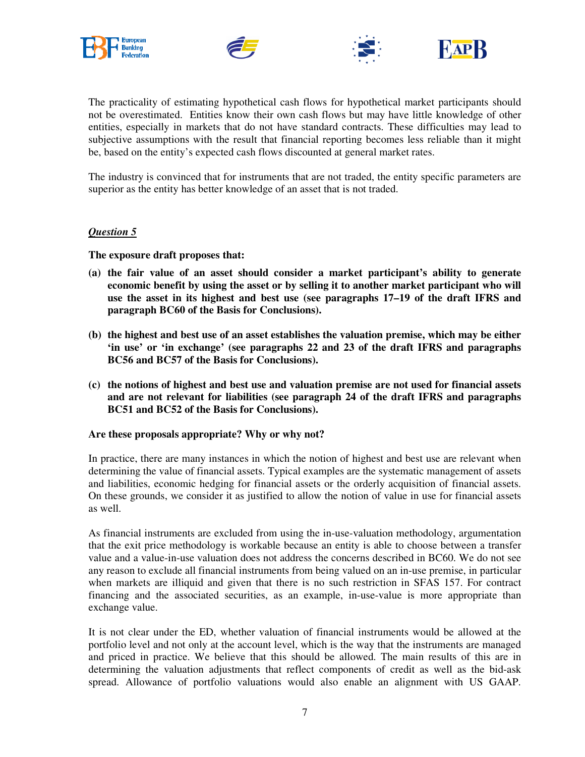







The practicality of estimating hypothetical cash flows for hypothetical market participants should not be overestimated. Entities know their own cash flows but may have little knowledge of other entities, especially in markets that do not have standard contracts. These difficulties may lead to subjective assumptions with the result that financial reporting becomes less reliable than it might be, based on the entity's expected cash flows discounted at general market rates.

The industry is convinced that for instruments that are not traded, the entity specific parameters are superior as the entity has better knowledge of an asset that is not traded.

#### *Question 5*

**The exposure draft proposes that:** 

- **(a) the fair value of an asset should consider a market participant's ability to generate economic benefit by using the asset or by selling it to another market participant who will use the asset in its highest and best use (see paragraphs 17–19 of the draft IFRS and paragraph BC60 of the Basis for Conclusions).**
- **(b) the highest and best use of an asset establishes the valuation premise, which may be either 'in use' or 'in exchange' (see paragraphs 22 and 23 of the draft IFRS and paragraphs BC56 and BC57 of the Basis for Conclusions).**
- **(c) the notions of highest and best use and valuation premise are not used for financial assets and are not relevant for liabilities (see paragraph 24 of the draft IFRS and paragraphs BC51 and BC52 of the Basis for Conclusions).**

#### **Are these proposals appropriate? Why or why not?**

In practice, there are many instances in which the notion of highest and best use are relevant when determining the value of financial assets. Typical examples are the systematic management of assets and liabilities, economic hedging for financial assets or the orderly acquisition of financial assets. On these grounds, we consider it as justified to allow the notion of value in use for financial assets as well.

As financial instruments are excluded from using the in-use-valuation methodology, argumentation that the exit price methodology is workable because an entity is able to choose between a transfer value and a value-in-use valuation does not address the concerns described in BC60. We do not see any reason to exclude all financial instruments from being valued on an in-use premise, in particular when markets are illiquid and given that there is no such restriction in SFAS 157. For contract financing and the associated securities, as an example, in-use-value is more appropriate than exchange value.

It is not clear under the ED, whether valuation of financial instruments would be allowed at the portfolio level and not only at the account level, which is the way that the instruments are managed and priced in practice. We believe that this should be allowed. The main results of this are in determining the valuation adjustments that reflect components of credit as well as the bid-ask spread. Allowance of portfolio valuations would also enable an alignment with US GAAP.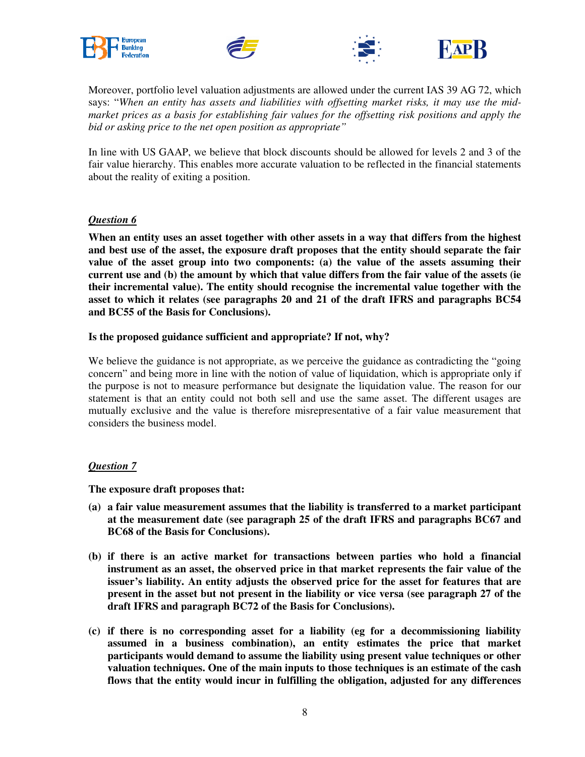







Moreover, portfolio level valuation adjustments are allowed under the current IAS 39 AG 72, which says: "*When an entity has assets and liabilities with offsetting market risks, it may use the midmarket prices as a basis for establishing fair values for the offsetting risk positions and apply the bid or asking price to the net open position as appropriate"* 

In line with US GAAP, we believe that block discounts should be allowed for levels 2 and 3 of the fair value hierarchy. This enables more accurate valuation to be reflected in the financial statements about the reality of exiting a position.

## *Question 6*

**When an entity uses an asset together with other assets in a way that differs from the highest and best use of the asset, the exposure draft proposes that the entity should separate the fair value of the asset group into two components: (a) the value of the assets assuming their current use and (b) the amount by which that value differs from the fair value of the assets (ie their incremental value). The entity should recognise the incremental value together with the asset to which it relates (see paragraphs 20 and 21 of the draft IFRS and paragraphs BC54 and BC55 of the Basis for Conclusions).** 

## **Is the proposed guidance sufficient and appropriate? If not, why?**

We believe the guidance is not appropriate, as we perceive the guidance as contradicting the "going" concern" and being more in line with the notion of value of liquidation, which is appropriate only if the purpose is not to measure performance but designate the liquidation value. The reason for our statement is that an entity could not both sell and use the same asset. The different usages are mutually exclusive and the value is therefore misrepresentative of a fair value measurement that considers the business model.

## *Question 7*

**The exposure draft proposes that:** 

- **(a) a fair value measurement assumes that the liability is transferred to a market participant at the measurement date (see paragraph 25 of the draft IFRS and paragraphs BC67 and BC68 of the Basis for Conclusions).**
- **(b) if there is an active market for transactions between parties who hold a financial instrument as an asset, the observed price in that market represents the fair value of the issuer's liability. An entity adjusts the observed price for the asset for features that are present in the asset but not present in the liability or vice versa (see paragraph 27 of the draft IFRS and paragraph BC72 of the Basis for Conclusions).**
- **(c) if there is no corresponding asset for a liability (eg for a decommissioning liability assumed in a business combination), an entity estimates the price that market participants would demand to assume the liability using present value techniques or other valuation techniques. One of the main inputs to those techniques is an estimate of the cash flows that the entity would incur in fulfilling the obligation, adjusted for any differences**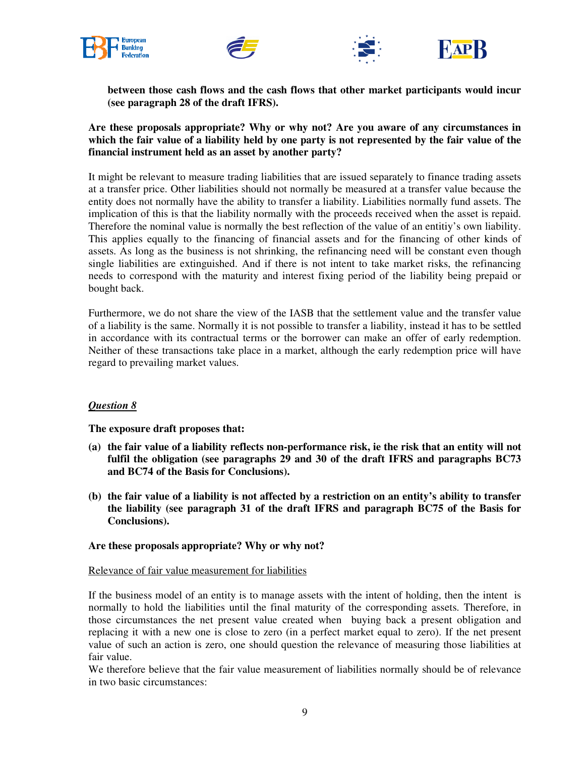







**between those cash flows and the cash flows that other market participants would incur (see paragraph 28 of the draft IFRS).** 

**Are these proposals appropriate? Why or why not? Are you aware of any circumstances in which the fair value of a liability held by one party is not represented by the fair value of the financial instrument held as an asset by another party?** 

It might be relevant to measure trading liabilities that are issued separately to finance trading assets at a transfer price. Other liabilities should not normally be measured at a transfer value because the entity does not normally have the ability to transfer a liability. Liabilities normally fund assets. The implication of this is that the liability normally with the proceeds received when the asset is repaid. Therefore the nominal value is normally the best reflection of the value of an entitiy's own liability. This applies equally to the financing of financial assets and for the financing of other kinds of assets. As long as the business is not shrinking, the refinancing need will be constant even though single liabilities are extinguished. And if there is not intent to take market risks, the refinancing needs to correspond with the maturity and interest fixing period of the liability being prepaid or bought back.

Furthermore, we do not share the view of the IASB that the settlement value and the transfer value of a liability is the same. Normally it is not possible to transfer a liability, instead it has to be settled in accordance with its contractual terms or the borrower can make an offer of early redemption. Neither of these transactions take place in a market, although the early redemption price will have regard to prevailing market values.

# *Question 8*

**The exposure draft proposes that:** 

- **(a) the fair value of a liability reflects non-performance risk, ie the risk that an entity will not fulfil the obligation (see paragraphs 29 and 30 of the draft IFRS and paragraphs BC73 and BC74 of the Basis for Conclusions).**
- **(b) the fair value of a liability is not affected by a restriction on an entity's ability to transfer the liability (see paragraph 31 of the draft IFRS and paragraph BC75 of the Basis for Conclusions).**

## **Are these proposals appropriate? Why or why not?**

#### Relevance of fair value measurement for liabilities

If the business model of an entity is to manage assets with the intent of holding, then the intent is normally to hold the liabilities until the final maturity of the corresponding assets. Therefore, in those circumstances the net present value created when buying back a present obligation and replacing it with a new one is close to zero (in a perfect market equal to zero). If the net present value of such an action is zero, one should question the relevance of measuring those liabilities at fair value.

We therefore believe that the fair value measurement of liabilities normally should be of relevance in two basic circumstances: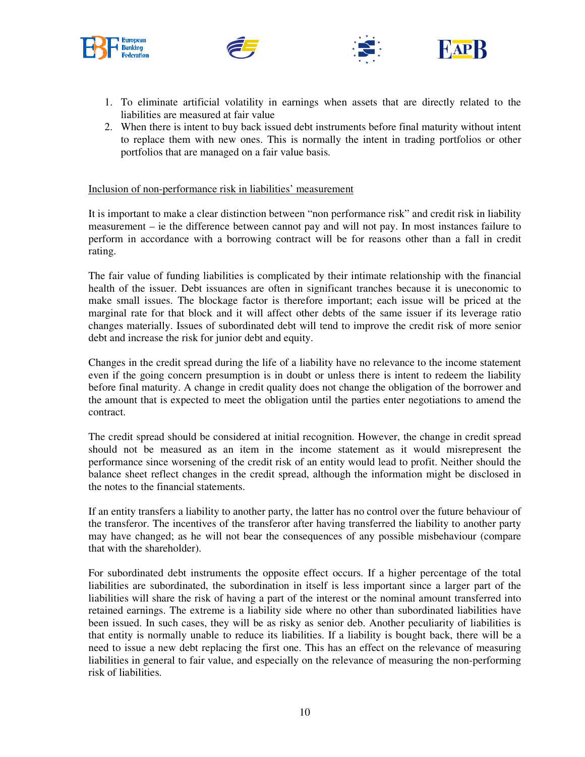







- 1. To eliminate artificial volatility in earnings when assets that are directly related to the liabilities are measured at fair value
- 2. When there is intent to buy back issued debt instruments before final maturity without intent to replace them with new ones. This is normally the intent in trading portfolios or other portfolios that are managed on a fair value basis.

#### Inclusion of non-performance risk in liabilities' measurement

It is important to make a clear distinction between "non performance risk" and credit risk in liability measurement – ie the difference between cannot pay and will not pay. In most instances failure to perform in accordance with a borrowing contract will be for reasons other than a fall in credit rating.

The fair value of funding liabilities is complicated by their intimate relationship with the financial health of the issuer. Debt issuances are often in significant tranches because it is uneconomic to make small issues. The blockage factor is therefore important; each issue will be priced at the marginal rate for that block and it will affect other debts of the same issuer if its leverage ratio changes materially. Issues of subordinated debt will tend to improve the credit risk of more senior debt and increase the risk for junior debt and equity.

Changes in the credit spread during the life of a liability have no relevance to the income statement even if the going concern presumption is in doubt or unless there is intent to redeem the liability before final maturity. A change in credit quality does not change the obligation of the borrower and the amount that is expected to meet the obligation until the parties enter negotiations to amend the contract.

The credit spread should be considered at initial recognition. However, the change in credit spread should not be measured as an item in the income statement as it would misrepresent the performance since worsening of the credit risk of an entity would lead to profit. Neither should the balance sheet reflect changes in the credit spread, although the information might be disclosed in the notes to the financial statements.

If an entity transfers a liability to another party, the latter has no control over the future behaviour of the transferor. The incentives of the transferor after having transferred the liability to another party may have changed; as he will not bear the consequences of any possible misbehaviour (compare that with the shareholder).

For subordinated debt instruments the opposite effect occurs. If a higher percentage of the total liabilities are subordinated, the subordination in itself is less important since a larger part of the liabilities will share the risk of having a part of the interest or the nominal amount transferred into retained earnings. The extreme is a liability side where no other than subordinated liabilities have been issued. In such cases, they will be as risky as senior deb. Another peculiarity of liabilities is that entity is normally unable to reduce its liabilities. If a liability is bought back, there will be a need to issue a new debt replacing the first one. This has an effect on the relevance of measuring liabilities in general to fair value, and especially on the relevance of measuring the non-performing risk of liabilities.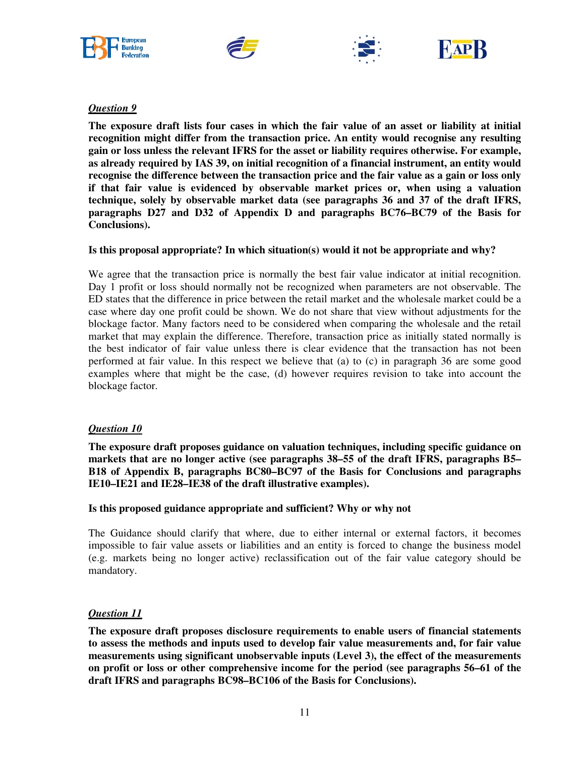







# *Question 9*

**The exposure draft lists four cases in which the fair value of an asset or liability at initial recognition might differ from the transaction price. An entity would recognise any resulting gain or loss unless the relevant IFRS for the asset or liability requires otherwise. For example, as already required by IAS 39, on initial recognition of a financial instrument, an entity would recognise the difference between the transaction price and the fair value as a gain or loss only if that fair value is evidenced by observable market prices or, when using a valuation technique, solely by observable market data (see paragraphs 36 and 37 of the draft IFRS, paragraphs D27 and D32 of Appendix D and paragraphs BC76–BC79 of the Basis for Conclusions).** 

## **Is this proposal appropriate? In which situation(s) would it not be appropriate and why?**

We agree that the transaction price is normally the best fair value indicator at initial recognition. Day 1 profit or loss should normally not be recognized when parameters are not observable. The ED states that the difference in price between the retail market and the wholesale market could be a case where day one profit could be shown. We do not share that view without adjustments for the blockage factor. Many factors need to be considered when comparing the wholesale and the retail market that may explain the difference. Therefore, transaction price as initially stated normally is the best indicator of fair value unless there is clear evidence that the transaction has not been performed at fair value. In this respect we believe that (a) to (c) in paragraph 36 are some good examples where that might be the case, (d) however requires revision to take into account the blockage factor.

## *Question 10*

**The exposure draft proposes guidance on valuation techniques, including specific guidance on markets that are no longer active (see paragraphs 38–55 of the draft IFRS, paragraphs B5– B18 of Appendix B, paragraphs BC80–BC97 of the Basis for Conclusions and paragraphs IE10–IE21 and IE28–IE38 of the draft illustrative examples).** 

#### **Is this proposed guidance appropriate and sufficient? Why or why not**

The Guidance should clarify that where, due to either internal or external factors, it becomes impossible to fair value assets or liabilities and an entity is forced to change the business model (e.g. markets being no longer active) reclassification out of the fair value category should be mandatory.

## *Question 11*

**The exposure draft proposes disclosure requirements to enable users of financial statements to assess the methods and inputs used to develop fair value measurements and, for fair value measurements using significant unobservable inputs (Level 3), the effect of the measurements on profit or loss or other comprehensive income for the period (see paragraphs 56–61 of the draft IFRS and paragraphs BC98–BC106 of the Basis for Conclusions).**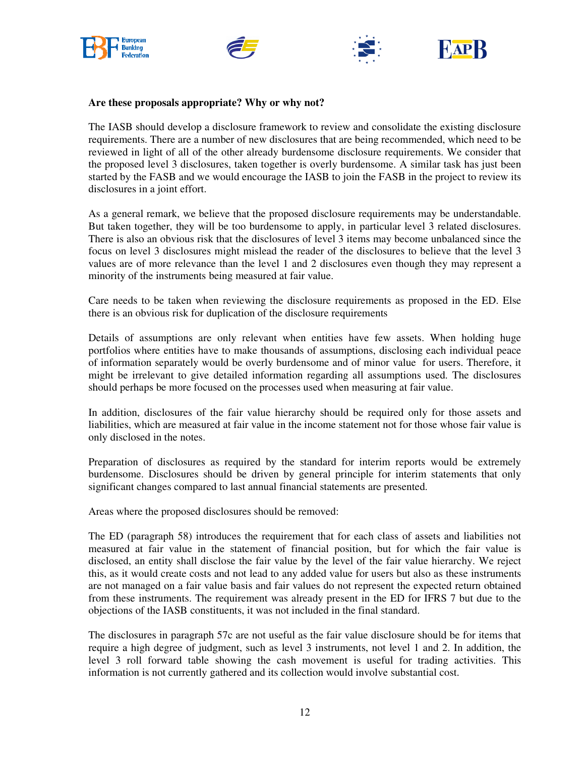







#### **Are these proposals appropriate? Why or why not?**

The IASB should develop a disclosure framework to review and consolidate the existing disclosure requirements. There are a number of new disclosures that are being recommended, which need to be reviewed in light of all of the other already burdensome disclosure requirements. We consider that the proposed level 3 disclosures, taken together is overly burdensome. A similar task has just been started by the FASB and we would encourage the IASB to join the FASB in the project to review its disclosures in a joint effort.

As a general remark, we believe that the proposed disclosure requirements may be understandable. But taken together, they will be too burdensome to apply, in particular level 3 related disclosures. There is also an obvious risk that the disclosures of level 3 items may become unbalanced since the focus on level 3 disclosures might mislead the reader of the disclosures to believe that the level 3 values are of more relevance than the level 1 and 2 disclosures even though they may represent a minority of the instruments being measured at fair value.

Care needs to be taken when reviewing the disclosure requirements as proposed in the ED. Else there is an obvious risk for duplication of the disclosure requirements

Details of assumptions are only relevant when entities have few assets. When holding huge portfolios where entities have to make thousands of assumptions, disclosing each individual peace of information separately would be overly burdensome and of minor value for users. Therefore, it might be irrelevant to give detailed information regarding all assumptions used. The disclosures should perhaps be more focused on the processes used when measuring at fair value.

In addition, disclosures of the fair value hierarchy should be required only for those assets and liabilities, which are measured at fair value in the income statement not for those whose fair value is only disclosed in the notes.

Preparation of disclosures as required by the standard for interim reports would be extremely burdensome. Disclosures should be driven by general principle for interim statements that only significant changes compared to last annual financial statements are presented.

Areas where the proposed disclosures should be removed:

The ED (paragraph 58) introduces the requirement that for each class of assets and liabilities not measured at fair value in the statement of financial position, but for which the fair value is disclosed, an entity shall disclose the fair value by the level of the fair value hierarchy. We reject this, as it would create costs and not lead to any added value for users but also as these instruments are not managed on a fair value basis and fair values do not represent the expected return obtained from these instruments. The requirement was already present in the ED for IFRS 7 but due to the objections of the IASB constituents, it was not included in the final standard.

The disclosures in paragraph 57c are not useful as the fair value disclosure should be for items that require a high degree of judgment, such as level 3 instruments, not level 1 and 2. In addition, the level 3 roll forward table showing the cash movement is useful for trading activities. This information is not currently gathered and its collection would involve substantial cost.